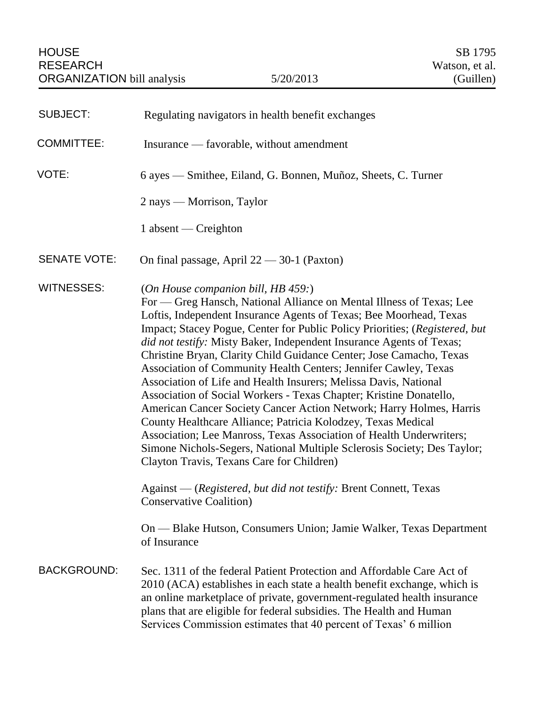| <b>SUBJECT:</b>     | Regulating navigators in health benefit exchanges                                                                                                                                                                                                                                                                                                                                                                                                                                                                                                                                                                                                                                                                                                                                                                                                                                                                                                                                                                                                                                                                                                              |
|---------------------|----------------------------------------------------------------------------------------------------------------------------------------------------------------------------------------------------------------------------------------------------------------------------------------------------------------------------------------------------------------------------------------------------------------------------------------------------------------------------------------------------------------------------------------------------------------------------------------------------------------------------------------------------------------------------------------------------------------------------------------------------------------------------------------------------------------------------------------------------------------------------------------------------------------------------------------------------------------------------------------------------------------------------------------------------------------------------------------------------------------------------------------------------------------|
| <b>COMMITTEE:</b>   | Insurance — favorable, without amendment                                                                                                                                                                                                                                                                                                                                                                                                                                                                                                                                                                                                                                                                                                                                                                                                                                                                                                                                                                                                                                                                                                                       |
| VOTE:               | 6 ayes — Smithee, Eiland, G. Bonnen, Muñoz, Sheets, C. Turner                                                                                                                                                                                                                                                                                                                                                                                                                                                                                                                                                                                                                                                                                                                                                                                                                                                                                                                                                                                                                                                                                                  |
|                     | 2 nays — Morrison, Taylor                                                                                                                                                                                                                                                                                                                                                                                                                                                                                                                                                                                                                                                                                                                                                                                                                                                                                                                                                                                                                                                                                                                                      |
|                     | 1 absent — Creighton                                                                                                                                                                                                                                                                                                                                                                                                                                                                                                                                                                                                                                                                                                                                                                                                                                                                                                                                                                                                                                                                                                                                           |
| <b>SENATE VOTE:</b> | On final passage, April $22 - 30-1$ (Paxton)                                                                                                                                                                                                                                                                                                                                                                                                                                                                                                                                                                                                                                                                                                                                                                                                                                                                                                                                                                                                                                                                                                                   |
| <b>WITNESSES:</b>   | (On House companion bill, HB 459:)<br>For — Greg Hansch, National Alliance on Mental Illness of Texas; Lee<br>Loftis, Independent Insurance Agents of Texas; Bee Moorhead, Texas<br>Impact; Stacey Pogue, Center for Public Policy Priorities; (Registered, but<br>did not testify: Misty Baker, Independent Insurance Agents of Texas;<br>Christine Bryan, Clarity Child Guidance Center; Jose Camacho, Texas<br>Association of Community Health Centers; Jennifer Cawley, Texas<br>Association of Life and Health Insurers; Melissa Davis, National<br>Association of Social Workers - Texas Chapter; Kristine Donatello,<br>American Cancer Society Cancer Action Network; Harry Holmes, Harris<br>County Healthcare Alliance; Patricia Kolodzey, Texas Medical<br>Association; Lee Manross, Texas Association of Health Underwriters;<br>Simone Nichols-Segers, National Multiple Sclerosis Society; Des Taylor;<br>Clayton Travis, Texans Care for Children)<br>Against — (Registered, but did not testify: Brent Connett, Texas<br><b>Conservative Coalition</b> )<br>On — Blake Hutson, Consumers Union; Jamie Walker, Texas Department<br>of Insurance |
| <b>BACKGROUND:</b>  | Sec. 1311 of the federal Patient Protection and Affordable Care Act of<br>2010 (ACA) establishes in each state a health benefit exchange, which is<br>an online marketplace of private, government-regulated health insurance<br>plans that are eligible for federal subsidies. The Health and Human<br>Services Commission estimates that 40 percent of Texas' 6 million                                                                                                                                                                                                                                                                                                                                                                                                                                                                                                                                                                                                                                                                                                                                                                                      |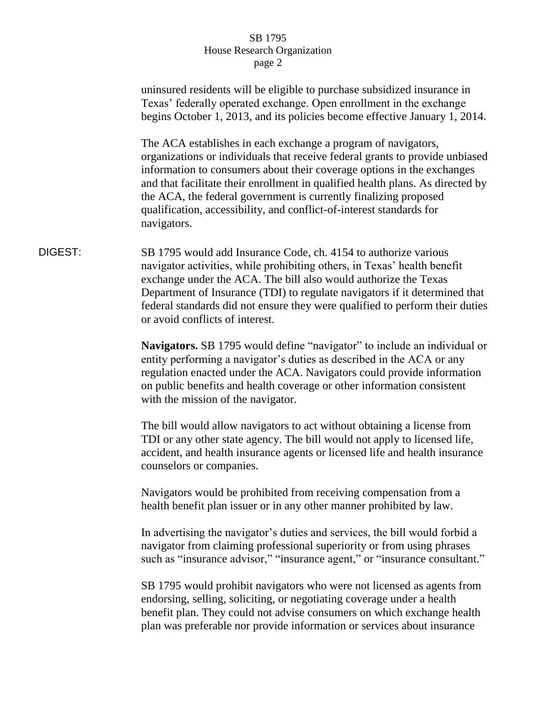|         | uninsured residents will be eligible to purchase subsidized insurance in<br>Texas' federally operated exchange. Open enrollment in the exchange<br>begins October 1, 2013, and its policies become effective January 1, 2014.                                                                                                                                                                                                                                        |
|---------|----------------------------------------------------------------------------------------------------------------------------------------------------------------------------------------------------------------------------------------------------------------------------------------------------------------------------------------------------------------------------------------------------------------------------------------------------------------------|
|         | The ACA establishes in each exchange a program of navigators,<br>organizations or individuals that receive federal grants to provide unbiased<br>information to consumers about their coverage options in the exchanges<br>and that facilitate their enrollment in qualified health plans. As directed by<br>the ACA, the federal government is currently finalizing proposed<br>qualification, accessibility, and conflict-of-interest standards for<br>navigators. |
| DIGEST: | SB 1795 would add Insurance Code, ch. 4154 to authorize various<br>navigator activities, while prohibiting others, in Texas' health benefit<br>exchange under the ACA. The bill also would authorize the Texas<br>Department of Insurance (TDI) to regulate navigators if it determined that<br>federal standards did not ensure they were qualified to perform their duties<br>or avoid conflicts of interest.                                                      |
|         | Navigators. SB 1795 would define "navigator" to include an individual or<br>entity performing a navigator's duties as described in the ACA or any<br>regulation enacted under the ACA. Navigators could provide information<br>on public benefits and health coverage or other information consistent<br>with the mission of the navigator.                                                                                                                          |
|         | The bill would allow navigators to act without obtaining a license from<br>TDI or any other state agency. The bill would not apply to licensed life,<br>accident, and health insurance agents or licensed life and health insurance<br>counselors or companies.                                                                                                                                                                                                      |
|         | Navigators would be prohibited from receiving compensation from a<br>health benefit plan issuer or in any other manner prohibited by law.                                                                                                                                                                                                                                                                                                                            |
|         | In advertising the navigator's duties and services, the bill would forbid a<br>navigator from claiming professional superiority or from using phrases<br>such as "insurance advisor," "insurance agent," or "insurance consultant."                                                                                                                                                                                                                                  |
|         | SB 1795 would prohibit navigators who were not licensed as agents from<br>endorsing, selling, soliciting, or negotiating coverage under a health<br>benefit plan. They could not advise consumers on which exchange health<br>plan was preferable nor provide information or services about insurance                                                                                                                                                                |
|         |                                                                                                                                                                                                                                                                                                                                                                                                                                                                      |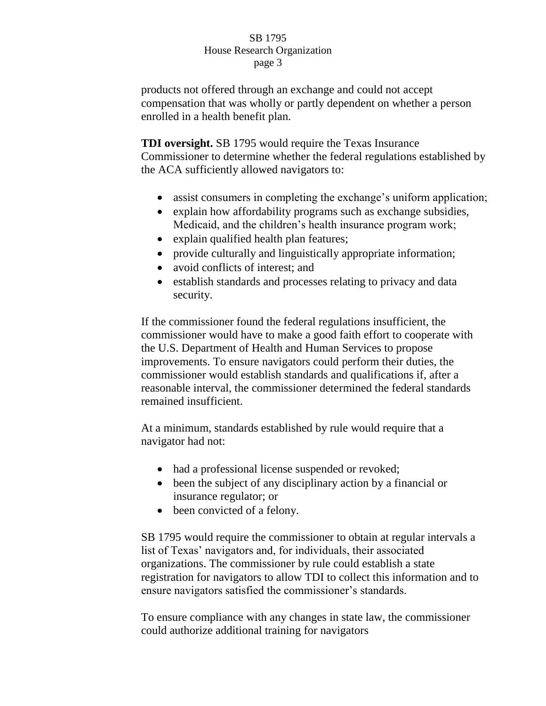products not offered through an exchange and could not accept compensation that was wholly or partly dependent on whether a person enrolled in a health benefit plan.

**TDI oversight.** SB 1795 would require the Texas Insurance Commissioner to determine whether the federal regulations established by the ACA sufficiently allowed navigators to:

- assist consumers in completing the exchange's uniform application;
- explain how affordability programs such as exchange subsidies, Medicaid, and the children's health insurance program work;
- explain qualified health plan features;
- provide culturally and linguistically appropriate information;
- avoid conflicts of interest; and
- establish standards and processes relating to privacy and data security.

If the commissioner found the federal regulations insufficient, the commissioner would have to make a good faith effort to cooperate with the U.S. Department of Health and Human Services to propose improvements. To ensure navigators could perform their duties, the commissioner would establish standards and qualifications if, after a reasonable interval, the commissioner determined the federal standards remained insufficient.

At a minimum, standards established by rule would require that a navigator had not:

- had a professional license suspended or revoked;
- been the subject of any disciplinary action by a financial or insurance regulator; or
- been convicted of a felony.

SB 1795 would require the commissioner to obtain at regular intervals a list of Texas' navigators and, for individuals, their associated organizations. The commissioner by rule could establish a state registration for navigators to allow TDI to collect this information and to ensure navigators satisfied the commissioner's standards.

To ensure compliance with any changes in state law, the commissioner could authorize additional training for navigators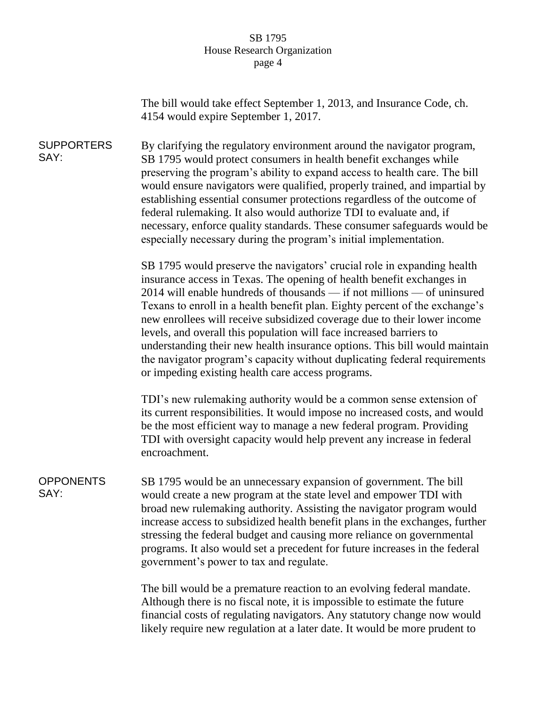|                           | The bill would take effect September 1, 2013, and Insurance Code, ch.<br>4154 would expire September 1, 2017.                                                                                                                                                                                                                                                                                                                                                                                                                                                                                                                                                                 |
|---------------------------|-------------------------------------------------------------------------------------------------------------------------------------------------------------------------------------------------------------------------------------------------------------------------------------------------------------------------------------------------------------------------------------------------------------------------------------------------------------------------------------------------------------------------------------------------------------------------------------------------------------------------------------------------------------------------------|
| <b>SUPPORTERS</b><br>SAY: | By clarifying the regulatory environment around the navigator program,<br>SB 1795 would protect consumers in health benefit exchanges while<br>preserving the program's ability to expand access to health care. The bill<br>would ensure navigators were qualified, properly trained, and impartial by<br>establishing essential consumer protections regardless of the outcome of<br>federal rulemaking. It also would authorize TDI to evaluate and, if<br>necessary, enforce quality standards. These consumer safeguards would be<br>especially necessary during the program's initial implementation.                                                                   |
|                           | SB 1795 would preserve the navigators' crucial role in expanding health<br>insurance access in Texas. The opening of health benefit exchanges in<br>2014 will enable hundreds of thousands — if not millions — of uninsured<br>Texans to enroll in a health benefit plan. Eighty percent of the exchange's<br>new enrollees will receive subsidized coverage due to their lower income<br>levels, and overall this population will face increased barriers to<br>understanding their new health insurance options. This bill would maintain<br>the navigator program's capacity without duplicating federal requirements<br>or impeding existing health care access programs. |
|                           | TDI's new rulemaking authority would be a common sense extension of<br>its current responsibilities. It would impose no increased costs, and would<br>be the most efficient way to manage a new federal program. Providing<br>TDI with oversight capacity would help prevent any increase in federal<br>encroachment.                                                                                                                                                                                                                                                                                                                                                         |
| <b>OPPONENTS</b><br>SAY:  | SB 1795 would be an unnecessary expansion of government. The bill<br>would create a new program at the state level and empower TDI with<br>broad new rulemaking authority. Assisting the navigator program would<br>increase access to subsidized health benefit plans in the exchanges, further<br>stressing the federal budget and causing more reliance on governmental<br>programs. It also would set a precedent for future increases in the federal<br>government's power to tax and regulate.                                                                                                                                                                          |
|                           | The bill would be a premature reaction to an evolving federal mandate.<br>Although there is no fiscal note, it is impossible to estimate the future<br>financial costs of regulating navigators. Any statutory change now would<br>likely require new regulation at a later date. It would be more prudent to                                                                                                                                                                                                                                                                                                                                                                 |